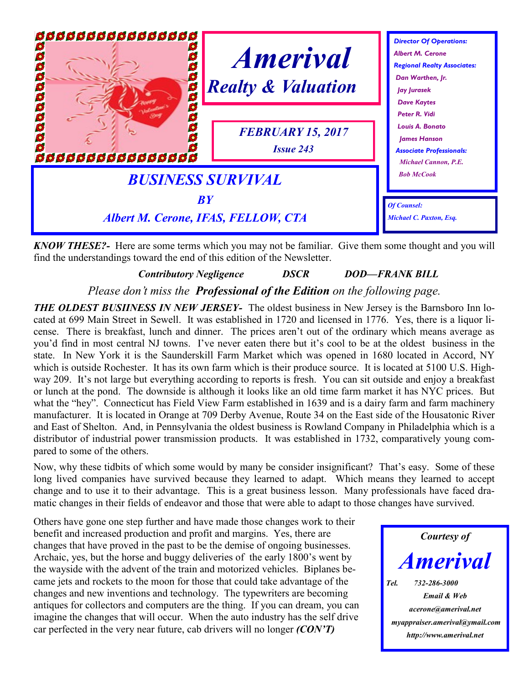

*KNOW THESE?-* Here are some terms which you may not be familiar. Give them some thought and you will find the understandings toward the end of this edition of the Newsletter.

# *Contributory Negligence DSCR DOD—FRANK BILL*

*Please don't miss the Professional of the Edition on the following page.*

*THE OLDEST BUSIINESS IN NEW JERSEY* The oldest business in New Jersey is the Barnsboro Inn located at 699 Main Street in Sewell. It was established in 1720 and licensed in 1776. Yes, there is a liquor license. There is breakfast, lunch and dinner. The prices aren't out of the ordinary which means average as you'd find in most central NJ towns. I've never eaten there but it's cool to be at the oldest business in the state. In New York it is the Saunderskill Farm Market which was opened in 1680 located in Accord, NY which is outside Rochester. It has its own farm which is their produce source. It is located at 5100 U.S. Highway 209. It's not large but everything according to reports is fresh. You can sit outside and enjoy a breakfast or lunch at the pond. The downside is although it looks like an old time farm market it has NYC prices. But what the "hey". Connecticut has Field View Farm established in 1639 and is a dairy farm and farm machinery manufacturer. It is located in Orange at 709 Derby Avenue, Route 34 on the East side of the Housatonic River and East of Shelton. And, in Pennsylvania the oldest business is Rowland Company in Philadelphia which is a distributor of industrial power transmission products. It was established in 1732, comparatively young compared to some of the others.

Now, why these tidbits of which some would by many be consider insignificant? That's easy. Some of these long lived companies have survived because they learned to adapt. Which means they learned to accept change and to use it to their advantage. This is a great business lesson. Many professionals have faced dramatic changes in their fields of endeavor and those that were able to adapt to those changes have survived.

Others have gone one step further and have made those changes work to their benefit and increased production and profit and margins. Yes, there are changes that have proved in the past to be the demise of ongoing businesses. Archaic, yes, but the horse and buggy deliveries of the early 1800's went by the wayside with the advent of the train and motorized vehicles. Biplanes became jets and rockets to the moon for those that could take advantage of the changes and new inventions and technology. The typewriters are becoming antiques for collectors and computers are the thing. If you can dream, you can imagine the changes that will occur. When the auto industry has the self drive car perfected in the very near future, cab drivers will no longer *(CON'T)*